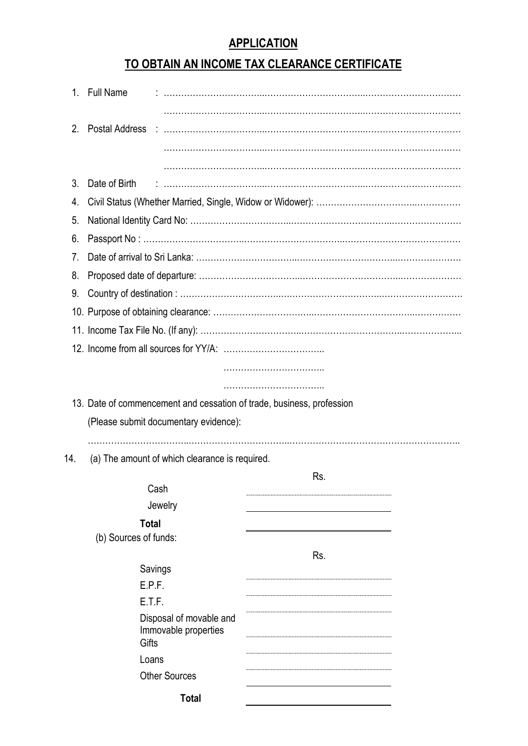## **APPLICATION**

## **TO OBTAIN AN INCOME TAX CLEARANCE CERTIFICATE**

|     | 1. Full Name          |                                                 |                                                                       |  |  |
|-----|-----------------------|-------------------------------------------------|-----------------------------------------------------------------------|--|--|
|     |                       |                                                 |                                                                       |  |  |
| 2.  |                       |                                                 |                                                                       |  |  |
|     |                       |                                                 |                                                                       |  |  |
|     |                       |                                                 |                                                                       |  |  |
| 3.  | Date of Birth         |                                                 |                                                                       |  |  |
| 4.  |                       |                                                 |                                                                       |  |  |
| 5.  |                       |                                                 |                                                                       |  |  |
| 6.  |                       |                                                 |                                                                       |  |  |
| 7.  |                       |                                                 |                                                                       |  |  |
| 8.  |                       |                                                 |                                                                       |  |  |
| 9.  |                       |                                                 |                                                                       |  |  |
|     |                       |                                                 |                                                                       |  |  |
|     |                       |                                                 |                                                                       |  |  |
|     |                       |                                                 |                                                                       |  |  |
|     |                       |                                                 |                                                                       |  |  |
|     |                       | (Please submit documentary evidence):           | 13. Date of commencement and cessation of trade, business, profession |  |  |
|     |                       | (a) The amount of which clearance is required.  |                                                                       |  |  |
|     |                       | Cash<br>Jewelry                                 | Rs.                                                                   |  |  |
| 14. | <b>Total</b>          |                                                 |                                                                       |  |  |
|     | (b) Sources of funds: |                                                 |                                                                       |  |  |
|     |                       |                                                 | Rs.                                                                   |  |  |
|     |                       | Savings                                         |                                                                       |  |  |
|     | E.P.F.<br>E.T.F.      |                                                 |                                                                       |  |  |
|     | Gifts                 | Disposal of movable and<br>Immovable properties |                                                                       |  |  |
|     | Loans                 |                                                 |                                                                       |  |  |
|     |                       | <b>Other Sources</b>                            |                                                                       |  |  |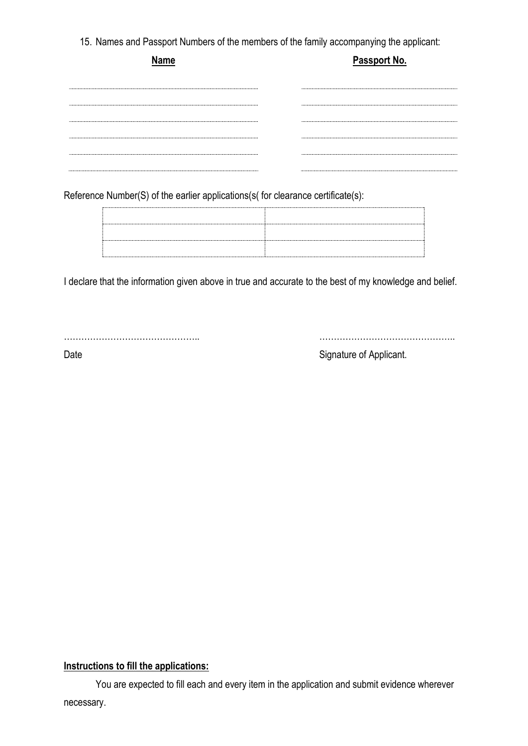15. Names and Passport Numbers of the members of the family accompanying the applicant:

| <b>Name</b> | Passport No. |
|-------------|--------------|
|             |              |
|             |              |
|             |              |
|             |              |
|             |              |
|             |              |

Reference Number(S) of the earlier applications(s( for clearance certificate(s):

I declare that the information given above in true and accurate to the best of my knowledge and belief.

……………………………………….. ………………………………………..

Date Signature of Applicant.

## **Instructions to fill the applications:**

You are expected to fill each and every item in the application and submit evidence wherever necessary.